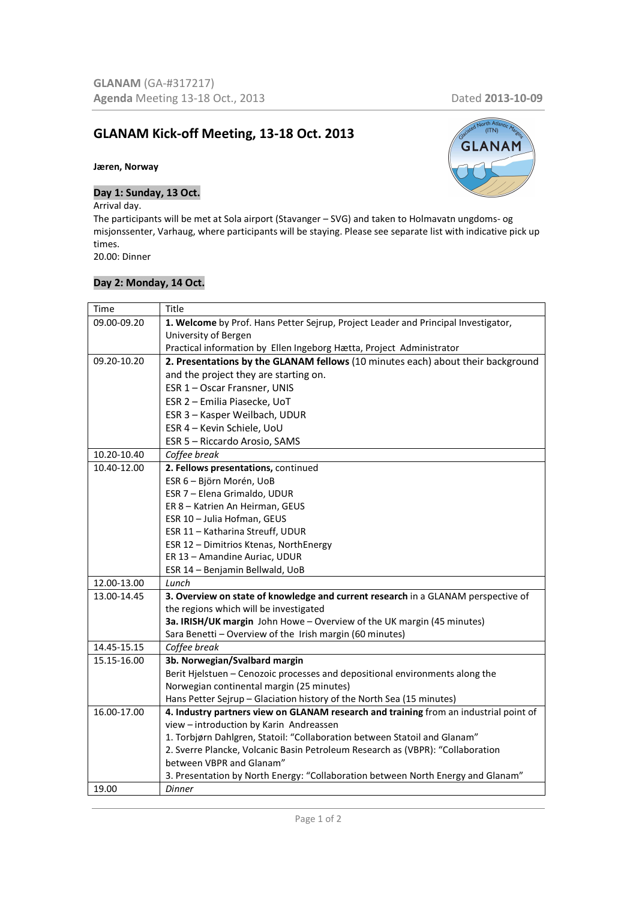# **GLANAM Kick-off Meeting, 13-18 Oct. 2013**

#### **Jæren, Norway**

### **Day 1: Sunday, 13 Oct.**

# Arrival day.

The participants will be met at Sola airport (Stavanger – SVG) and taken to Holmavatn ungdoms- og misjonssenter, Varhaug, where participants will be staying. Please see separate list with indicative pick up times. 20.00: Dinner

### **Day 2: Monday, 14 Oct.**

# **GLANAM**

| Time        | Title                                                                                 |
|-------------|---------------------------------------------------------------------------------------|
| 09.00-09.20 | 1. Welcome by Prof. Hans Petter Sejrup, Project Leader and Principal Investigator,    |
|             | University of Bergen                                                                  |
|             | Practical information by Ellen Ingeborg Hætta, Project Administrator                  |
| 09.20-10.20 | 2. Presentations by the GLANAM fellows (10 minutes each) about their background       |
|             | and the project they are starting on.                                                 |
|             | ESR 1 - Oscar Fransner, UNIS                                                          |
|             | ESR 2 - Emilia Piasecke, UoT                                                          |
|             | ESR 3 - Kasper Weilbach, UDUR                                                         |
|             | ESR 4 - Kevin Schiele, UoU                                                            |
|             | ESR 5 - Riccardo Arosio, SAMS                                                         |
| 10.20-10.40 | Coffee break                                                                          |
| 10.40-12.00 | 2. Fellows presentations, continued                                                   |
|             | ESR 6 - Björn Morén, UoB                                                              |
|             | ESR 7 - Elena Grimaldo, UDUR                                                          |
|             | ER 8 - Katrien An Heirman, GEUS                                                       |
|             | ESR 10 - Julia Hofman, GEUS                                                           |
|             | ESR 11 - Katharina Streuff, UDUR                                                      |
|             | ESR 12 - Dimitrios Ktenas, NorthEnergy                                                |
|             | ER 13 - Amandine Auriac, UDUR                                                         |
|             | ESR 14 - Benjamin Bellwald, UoB                                                       |
| 12.00-13.00 | Lunch                                                                                 |
| 13.00-14.45 | 3. Overview on state of knowledge and current research in a GLANAM perspective of     |
|             | the regions which will be investigated                                                |
|             | 3a. IRISH/UK margin John Howe - Overview of the UK margin (45 minutes)                |
|             | Sara Benetti - Overview of the Irish margin (60 minutes)                              |
| 14.45-15.15 | Coffee break                                                                          |
| 15.15-16.00 | 3b. Norwegian/Svalbard margin                                                         |
|             | Berit Hjelstuen - Cenozoic processes and depositional environments along the          |
|             | Norwegian continental margin (25 minutes)                                             |
|             | Hans Petter Sejrup - Glaciation history of the North Sea (15 minutes)                 |
| 16.00-17.00 | 4. Industry partners view on GLANAM research and training from an industrial point of |
|             | view - introduction by Karin Andreassen                                               |
|             | 1. Torbjørn Dahlgren, Statoil: "Collaboration between Statoil and Glanam"             |
|             | 2. Sverre Plancke, Volcanic Basin Petroleum Research as (VBPR): "Collaboration        |
|             | between VBPR and Glanam"                                                              |
|             | 3. Presentation by North Energy: "Collaboration between North Energy and Glanam"      |
| 19.00       | <b>Dinner</b>                                                                         |

 $(TN)$